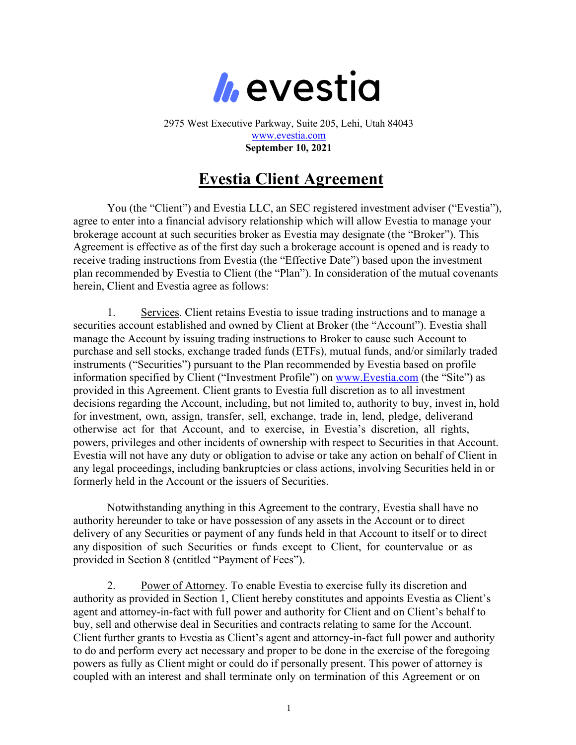

2975 West Executive Parkway, Suite 205, Lehi, Utah 84043 www.evestia.com **September 10, 2021**

## **Evestia Client Agreement**

You (the "Client") and Evestia LLC, an SEC registered investment adviser ("Evestia"), agree to enter into a financial advisory relationship which will allow Evestia to manage your brokerage account at such securities broker as Evestia may designate (the "Broker"). This Agreement is effective as of the first day such a brokerage account is opened and is ready to receive trading instructions from Evestia (the "Effective Date") based upon the investment plan recommended by Evestia to Client (the "Plan"). In consideration of the mutual covenants herein, Client and Evestia agree as follows:

1. Services. Client retains Evestia to issue trading instructions and to manage a securities account established and owned by Client at Broker (the "Account"). Evestia shall manage the Account by issuing trading instructions to Broker to cause such Account to purchase and sell stocks, exchange traded funds (ETFs), mutual funds, and/or similarly traded instruments ("Securities") pursuant to the Plan recommended by Evestia based on profile information specified by Client ("Investment Profile") on www.Evestia.com (the "Site") as provided in this Agreement. Client grants to Evestia full discretion as to all investment decisions regarding the Account, including, but not limited to, authority to buy, invest in, hold for investment, own, assign, transfer, sell, exchange, trade in, lend, pledge, deliverand otherwise act for that Account, and to exercise, in Evestia's discretion, all rights, powers, privileges and other incidents of ownership with respect to Securities in that Account. Evestia will not have any duty or obligation to advise or take any action on behalf of Client in any legal proceedings, including bankruptcies or class actions, involving Securities held in or formerly held in the Account or the issuers of Securities.

Notwithstanding anything in this Agreement to the contrary, Evestia shall have no authority hereunder to take or have possession of any assets in the Account or to direct delivery of any Securities or payment of any funds held in that Account to itself or to direct any disposition of such Securities or funds except to Client, for countervalue or as provided in Section 8 (entitled "Payment of Fees").

2. Power of Attorney. To enable Evestia to exercise fully its discretion and authority as provided in Section 1, Client hereby constitutes and appoints Evestia as Client's agent and attorney-in-fact with full power and authority for Client and on Client's behalf to buy, sell and otherwise deal in Securities and contracts relating to same for the Account. Client further grants to Evestia as Client's agent and attorney-in-fact full power and authority to do and perform every act necessary and proper to be done in the exercise of the foregoing powers as fully as Client might or could do if personally present. This power of attorney is coupled with an interest and shall terminate only on termination of this Agreement or on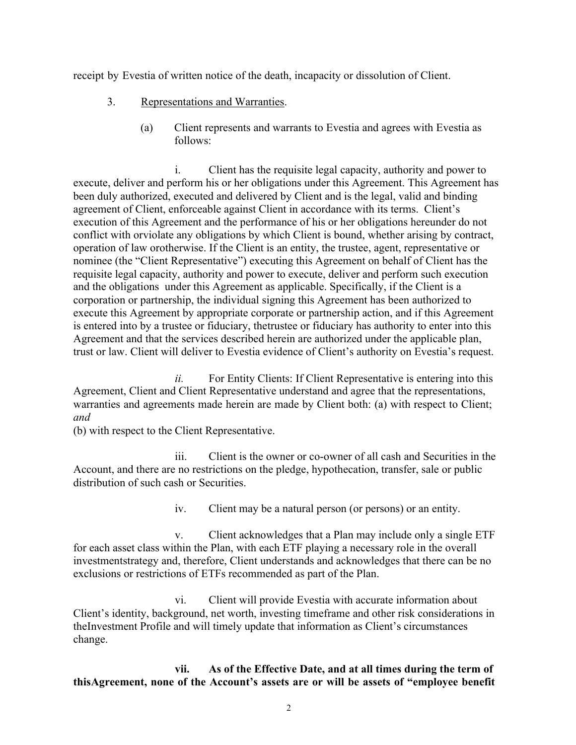receipt by Evestia of written notice of the death, incapacity or dissolution of Client.

- 3. Representations and Warranties.
	- (a) Client represents and warrants to Evestia and agrees with Evestia as follows:

i. Client has the requisite legal capacity, authority and power to execute, deliver and perform his or her obligations under this Agreement. This Agreement has been duly authorized, executed and delivered by Client and is the legal, valid and binding agreement of Client, enforceable against Client in accordance with its terms. Client's execution of this Agreement and the performance of his or her obligations hereunder do not conflict with orviolate any obligations by which Client is bound, whether arising by contract, operation of law orotherwise. If the Client is an entity, the trustee, agent, representative or nominee (the "Client Representative") executing this Agreement on behalf of Client has the requisite legal capacity, authority and power to execute, deliver and perform such execution and the obligations under this Agreement as applicable. Specifically, if the Client is a corporation or partnership, the individual signing this Agreement has been authorized to execute this Agreement by appropriate corporate or partnership action, and if this Agreement is entered into by a trustee or fiduciary, thetrustee or fiduciary has authority to enter into this Agreement and that the services described herein are authorized under the applicable plan, trust or law. Client will deliver to Evestia evidence of Client's authority on Evestia's request.

*ii.* For Entity Clients: If Client Representative is entering into this Agreement, Client and Client Representative understand and agree that the representations, warranties and agreements made herein are made by Client both: (a) with respect to Client; *and*

(b) with respect to the Client Representative.

iii. Client is the owner or co-owner of all cash and Securities in the Account, and there are no restrictions on the pledge, hypothecation, transfer, sale or public distribution of such cash or Securities.

iv. Client may be a natural person (or persons) or an entity.

v. Client acknowledges that a Plan may include only a single ETF for each asset class within the Plan, with each ETF playing a necessary role in the overall investmentstrategy and, therefore, Client understands and acknowledges that there can be no exclusions or restrictions of ETFs recommended as part of the Plan.

vi. Client will provide Evestia with accurate information about Client's identity, background, net worth, investing timeframe and other risk considerations in theInvestment Profile and will timely update that information as Client's circumstances change.

**vii. As of the Effective Date, and at all times during the term of thisAgreement, none of the Account's assets are or will be assets of "employee benefit**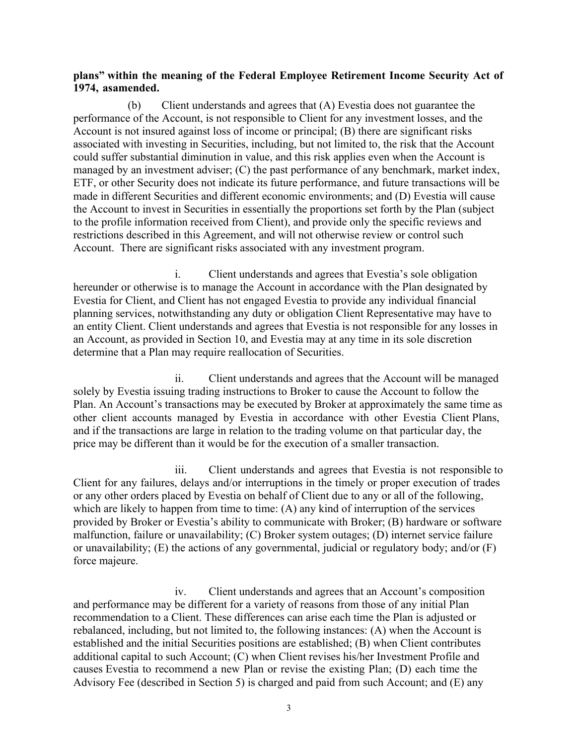## **plans" within the meaning of the Federal Employee Retirement Income Security Act of 1974, asamended.**

(b) Client understands and agrees that (A) Evestia does not guarantee the performance of the Account, is not responsible to Client for any investment losses, and the Account is not insured against loss of income or principal; (B) there are significant risks associated with investing in Securities, including, but not limited to, the risk that the Account could suffer substantial diminution in value, and this risk applies even when the Account is managed by an investment adviser; (C) the past performance of any benchmark, market index, ETF, or other Security does not indicate its future performance, and future transactions will be made in different Securities and different economic environments; and (D) Evestia will cause the Account to invest in Securities in essentially the proportions set forth by the Plan (subject to the profile information received from Client), and provide only the specific reviews and restrictions described in this Agreement, and will not otherwise review or control such Account. There are significant risks associated with any investment program.

i. Client understands and agrees that Evestia's sole obligation hereunder or otherwise is to manage the Account in accordance with the Plan designated by Evestia for Client, and Client has not engaged Evestia to provide any individual financial planning services, notwithstanding any duty or obligation Client Representative may have to an entity Client. Client understands and agrees that Evestia is not responsible for any losses in an Account, as provided in Section 10, and Evestia may at any time in its sole discretion determine that a Plan may require reallocation of Securities.

ii. Client understands and agrees that the Account will be managed solely by Evestia issuing trading instructions to Broker to cause the Account to follow the Plan. An Account's transactions may be executed by Broker at approximately the same time as other client accounts managed by Evestia in accordance with other Evestia Client Plans, and if the transactions are large in relation to the trading volume on that particular day, the price may be different than it would be for the execution of a smaller transaction.

iii. Client understands and agrees that Evestia is not responsible to Client for any failures, delays and/or interruptions in the timely or proper execution of trades or any other orders placed by Evestia on behalf of Client due to any or all of the following, which are likely to happen from time to time: (A) any kind of interruption of the services provided by Broker or Evestia's ability to communicate with Broker; (B) hardware or software malfunction, failure or unavailability; (C) Broker system outages; (D) internet service failure or unavailability;  $(E)$  the actions of any governmental, judicial or regulatory body; and/or  $(F)$ force majeure.

iv. Client understands and agrees that an Account's composition and performance may be different for a variety of reasons from those of any initial Plan recommendation to a Client. These differences can arise each time the Plan is adjusted or rebalanced, including, but not limited to, the following instances: (A) when the Account is established and the initial Securities positions are established; (B) when Client contributes additional capital to such Account; (C) when Client revises his/her Investment Profile and causes Evestia to recommend a new Plan or revise the existing Plan; (D) each time the Advisory Fee (described in Section 5) is charged and paid from such Account; and (E) any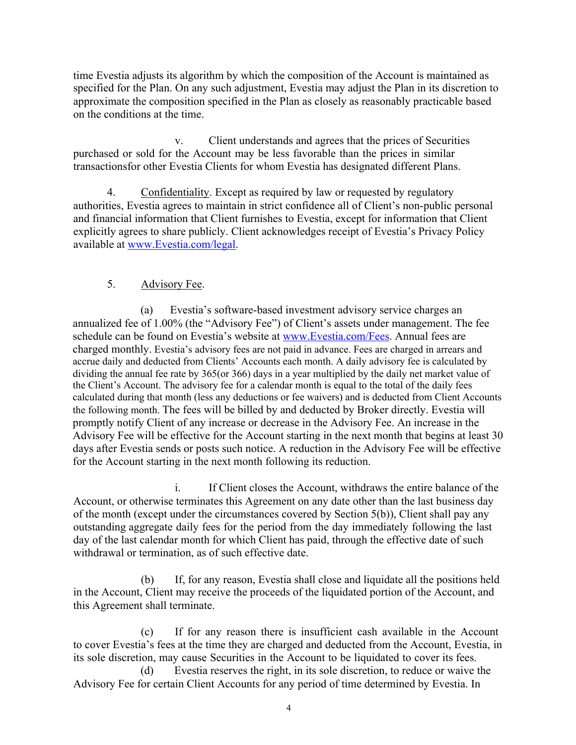time Evestia adjusts its algorithm by which the composition of the Account is maintained as specified for the Plan. On any such adjustment, Evestia may adjust the Plan in its discretion to approximate the composition specified in the Plan as closely as reasonably practicable based on the conditions at the time.

v. Client understands and agrees that the prices of Securities purchased or sold for the Account may be less favorable than the prices in similar transactionsfor other Evestia Clients for whom Evestia has designated different Plans.

4. Confidentiality. Except as required by law or requested by regulatory authorities, Evestia agrees to maintain in strict confidence all of Client's non-public personal and financial information that Client furnishes to Evestia, except for information that Client explicitly agrees to share publicly. Client acknowledges receipt of Evestia's Privacy Policy available at www.Evestia.com/legal.

## 5. Advisory Fee.

(a) Evestia's software-based investment advisory service charges an annualized fee of 1.00% (the "Advisory Fee") of Client's assets under management. The fee schedule can be found on Evestia's website at www.Evestia.com/Fees. Annual fees are charged monthly. Evestia's advisory fees are not paid in advance. Fees are charged in arrears and accrue daily and deducted from Clients' Accounts each month. A daily advisory fee is calculated by dividing the annual fee rate by 365(or 366) days in a year multiplied by the daily net market value of the Client's Account. The advisory fee for a calendar month is equal to the total of the daily fees calculated during that month (less any deductions or fee waivers) and is deducted from Client Accounts the following month. The fees will be billed by and deducted by Broker directly. Evestia will promptly notify Client of any increase or decrease in the Advisory Fee. An increase in the Advisory Fee will be effective for the Account starting in the next month that begins at least 30 days after Evestia sends or posts such notice. A reduction in the Advisory Fee will be effective for the Account starting in the next month following its reduction.

i. If Client closes the Account, withdraws the entire balance of the Account, or otherwise terminates this Agreement on any date other than the last business day of the month (except under the circumstances covered by Section 5(b)), Client shall pay any outstanding aggregate daily fees for the period from the day immediately following the last day of the last calendar month for which Client has paid, through the effective date of such withdrawal or termination, as of such effective date.

(b) If, for any reason, Evestia shall close and liquidate all the positions held in the Account, Client may receive the proceeds of the liquidated portion of the Account, and this Agreement shall terminate.

(c) If for any reason there is insufficient cash available in the Account to cover Evestia's fees at the time they are charged and deducted from the Account, Evestia, in its sole discretion, may cause Securities in the Account to be liquidated to cover its fees.

(d) Evestia reserves the right, in its sole discretion, to reduce or waive the Advisory Fee for certain Client Accounts for any period of time determined by Evestia. In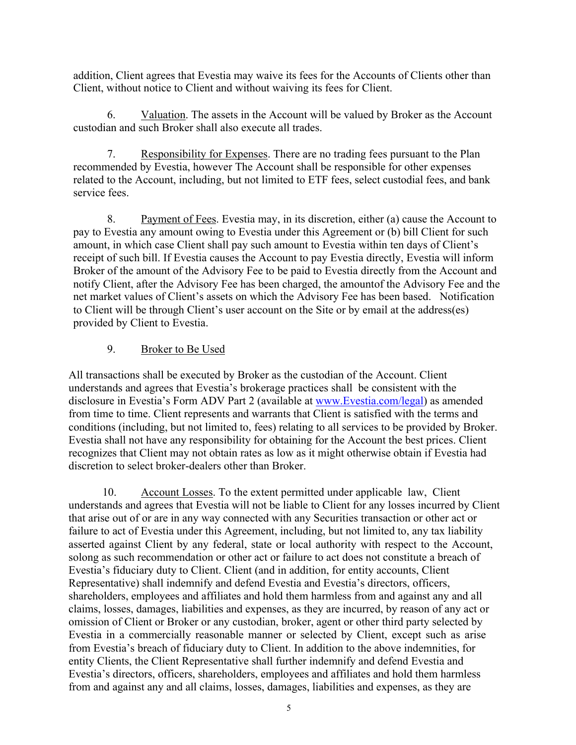addition, Client agrees that Evestia may waive its fees for the Accounts of Clients other than Client, without notice to Client and without waiving its fees for Client.

6. Valuation. The assets in the Account will be valued by Broker as the Account custodian and such Broker shall also execute all trades.

7. Responsibility for Expenses. There are no trading fees pursuant to the Plan recommended by Evestia, however The Account shall be responsible for other expenses related to the Account, including, but not limited to ETF fees, select custodial fees, and bank service fees.

8. Payment of Fees. Evestia may, in its discretion, either (a) cause the Account to pay to Evestia any amount owing to Evestia under this Agreement or (b) bill Client for such amount, in which case Client shall pay such amount to Evestia within ten days of Client's receipt of such bill. If Evestia causes the Account to pay Evestia directly, Evestia will inform Broker of the amount of the Advisory Fee to be paid to Evestia directly from the Account and notify Client, after the Advisory Fee has been charged, the amountof the Advisory Fee and the net market values of Client's assets on which the Advisory Fee has been based. Notification to Client will be through Client's user account on the Site or by email at the address(es) provided by Client to Evestia.

## 9. Broker to Be Used

All transactions shall be executed by Broker as the custodian of the Account. Client understands and agrees that Evestia's brokerage practices shall be consistent with the disclosure in Evestia's Form ADV Part 2 (available at www.Evestia.com/legal) as amended from time to time. Client represents and warrants that Client is satisfied with the terms and conditions (including, but not limited to, fees) relating to all services to be provided by Broker. Evestia shall not have any responsibility for obtaining for the Account the best prices. Client recognizes that Client may not obtain rates as low as it might otherwise obtain if Evestia had discretion to select broker-dealers other than Broker.

10. Account Losses. To the extent permitted under applicable law, Client understands and agrees that Evestia will not be liable to Client for any losses incurred by Client that arise out of or are in any way connected with any Securities transaction or other act or failure to act of Evestia under this Agreement, including, but not limited to, any tax liability asserted against Client by any federal, state or local authority with respect to the Account, solong as such recommendation or other act or failure to act does not constitute a breach of Evestia's fiduciary duty to Client. Client (and in addition, for entity accounts, Client Representative) shall indemnify and defend Evestia and Evestia's directors, officers, shareholders, employees and affiliates and hold them harmless from and against any and all claims, losses, damages, liabilities and expenses, as they are incurred, by reason of any act or omission of Client or Broker or any custodian, broker, agent or other third party selected by Evestia in a commercially reasonable manner or selected by Client, except such as arise from Evestia's breach of fiduciary duty to Client. In addition to the above indemnities, for entity Clients, the Client Representative shall further indemnify and defend Evestia and Evestia's directors, officers, shareholders, employees and affiliates and hold them harmless from and against any and all claims, losses, damages, liabilities and expenses, as they are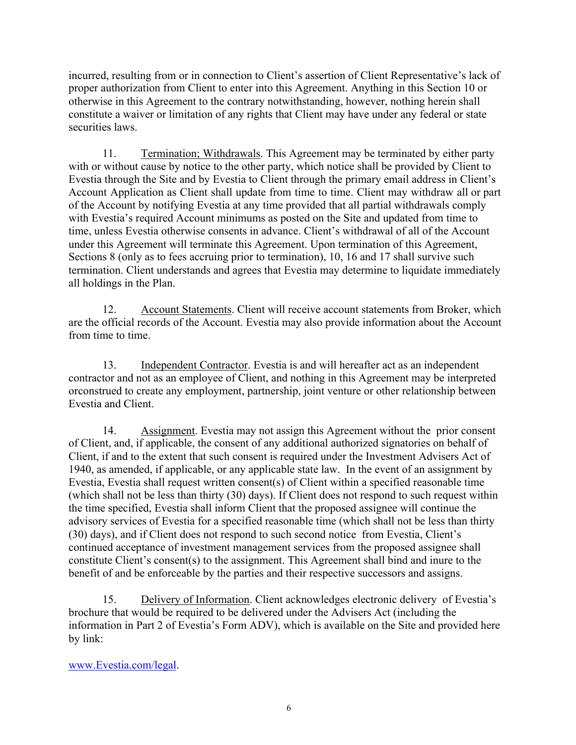incurred, resulting from or in connection to Client's assertion of Client Representative's lack of proper authorization from Client to enter into this Agreement. Anything in this Section 10 or otherwise in this Agreement to the contrary notwithstanding, however, nothing herein shall constitute a waiver or limitation of any rights that Client may have under any federal or state securities laws.

11. Termination; Withdrawals. This Agreement may be terminated by either party with or without cause by notice to the other party, which notice shall be provided by Client to Evestia through the Site and by Evestia to Client through the primary email address in Client's Account Application as Client shall update from time to time. Client may withdraw all or part of the Account by notifying Evestia at any time provided that all partial withdrawals comply with Evestia's required Account minimums as posted on the Site and updated from time to time, unless Evestia otherwise consents in advance. Client's withdrawal of all of the Account under this Agreement will terminate this Agreement. Upon termination of this Agreement, Sections 8 (only as to fees accruing prior to termination), 10, 16 and 17 shall survive such termination. Client understands and agrees that Evestia may determine to liquidate immediately all holdings in the Plan.

12. Account Statements. Client will receive account statements from Broker, which are the official records of the Account. Evestia may also provide information about the Account from time to time.

13. Independent Contractor. Evestia is and will hereafter act as an independent contractor and not as an employee of Client, and nothing in this Agreement may be interpreted orconstrued to create any employment, partnership, joint venture or other relationship between Evestia and Client.

14. Assignment. Evestia may not assign this Agreement without the prior consent of Client, and, if applicable, the consent of any additional authorized signatories on behalf of Client, if and to the extent that such consent is required under the Investment Advisers Act of 1940, as amended, if applicable, or any applicable state law. In the event of an assignment by Evestia, Evestia shall request written consent(s) of Client within a specified reasonable time (which shall not be less than thirty (30) days). If Client does not respond to such request within the time specified, Evestia shall inform Client that the proposed assignee will continue the advisory services of Evestia for a specified reasonable time (which shall not be less than thirty (30) days), and if Client does not respond to such second notice from Evestia, Client's continued acceptance of investment management services from the proposed assignee shall constitute Client's consent(s) to the assignment. This Agreement shall bind and inure to the benefit of and be enforceable by the parties and their respective successors and assigns.

15. Delivery of Information. Client acknowledges electronic delivery of Evestia's brochure that would be required to be delivered under the Advisers Act (including the information in Part 2 of Evestia's Form ADV), which is available on the Site and provided here by link:

www.Evestia.com/legal.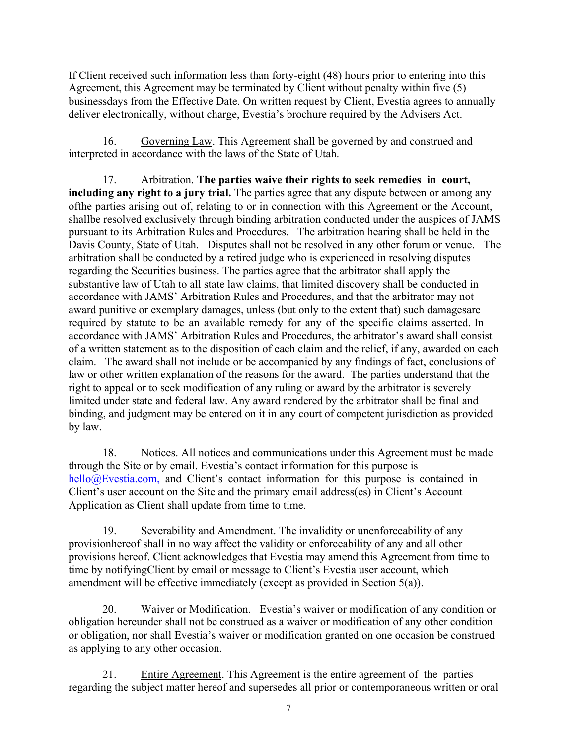If Client received such information less than forty-eight (48) hours prior to entering into this Agreement, this Agreement may be terminated by Client without penalty within five (5) businessdays from the Effective Date. On written request by Client, Evestia agrees to annually deliver electronically, without charge, Evestia's brochure required by the Advisers Act.

16. Governing Law. This Agreement shall be governed by and construed and interpreted in accordance with the laws of the State of Utah.

17. Arbitration. **The parties waive their rights to seek remedies in court, including any right to a jury trial.** The parties agree that any dispute between or among any ofthe parties arising out of, relating to or in connection with this Agreement or the Account, shallbe resolved exclusively through binding arbitration conducted under the auspices of JAMS pursuant to its Arbitration Rules and Procedures. The arbitration hearing shall be held in the Davis County, State of Utah. Disputes shall not be resolved in any other forum or venue. The arbitration shall be conducted by a retired judge who is experienced in resolving disputes regarding the Securities business. The parties agree that the arbitrator shall apply the substantive law of Utah to all state law claims, that limited discovery shall be conducted in accordance with JAMS' Arbitration Rules and Procedures, and that the arbitrator may not award punitive or exemplary damages, unless (but only to the extent that) such damagesare required by statute to be an available remedy for any of the specific claims asserted. In accordance with JAMS' Arbitration Rules and Procedures, the arbitrator's award shall consist of a written statement as to the disposition of each claim and the relief, if any, awarded on each claim. The award shall not include or be accompanied by any findings of fact, conclusions of law or other written explanation of the reasons for the award. The parties understand that the right to appeal or to seek modification of any ruling or award by the arbitrator is severely limited under state and federal law. Any award rendered by the arbitrator shall be final and binding, and judgment may be entered on it in any court of competent jurisdiction as provided by law.

18. Notices. All notices and communications under this Agreement must be made through the Site or by email. Evestia's contact information for this purpose is hello@Evestia.com, and Client's contact information for this purpose is contained in Client's user account on the Site and the primary email address(es) in Client's Account Application as Client shall update from time to time.

19. Severability and Amendment. The invalidity or unenforceability of any provisionhereof shall in no way affect the validity or enforceability of any and all other provisions hereof. Client acknowledges that Evestia may amend this Agreement from time to time by notifyingClient by email or message to Client's Evestia user account, which amendment will be effective immediately (except as provided in Section 5(a)).

20. Waiver or Modification. Evestia's waiver or modification of any condition or obligation hereunder shall not be construed as a waiver or modification of any other condition or obligation, nor shall Evestia's waiver or modification granted on one occasion be construed as applying to any other occasion.

21. Entire Agreement. This Agreement is the entire agreement of the parties regarding the subject matter hereof and supersedes all prior or contemporaneous written or oral